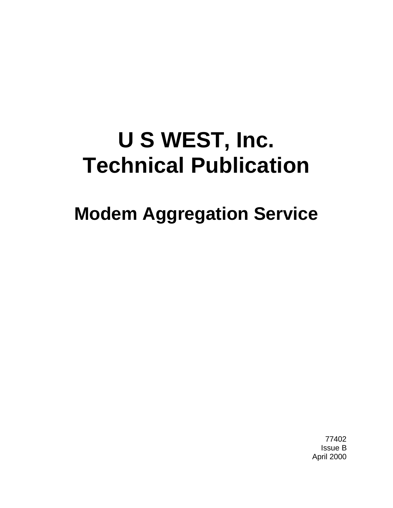# **U S WEST, Inc. Technical Publication**

# **Modem Aggregation Service**

77402 Issue B April 2000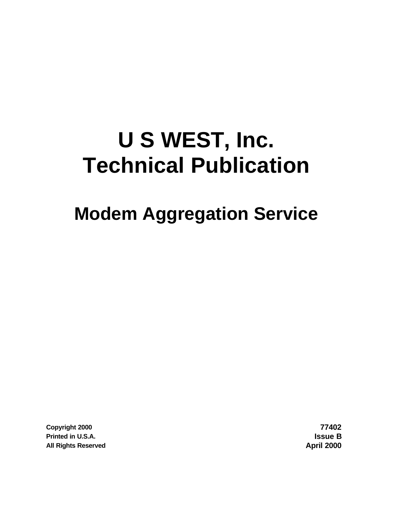# **U S WEST, Inc. Technical Publication**

# **Modem Aggregation Service**

**Copyright 2000 77402 Printed in U.S.A. Issue B All Rights Reserved April 2000**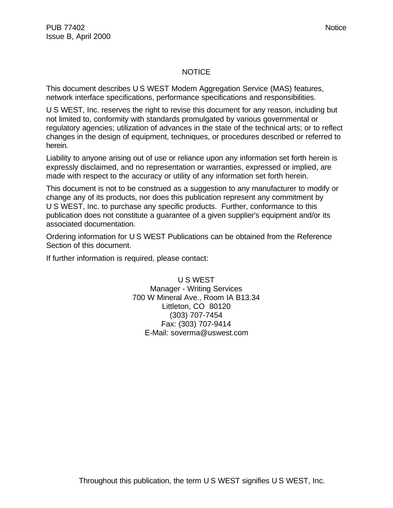#### **NOTICE**

This document describes U S WEST Modem Aggregation Service (MAS) features, network interface specifications, performance specifications and responsibilities.

U S WEST, Inc. reserves the right to revise this document for any reason, including but not limited to, conformity with standards promulgated by various governmental or regulatory agencies; utilization of advances in the state of the technical arts; or to reflect changes in the design of equipment, techniques, or procedures described or referred to herein.

Liability to anyone arising out of use or reliance upon any information set forth herein is expressly disclaimed, and no representation or warranties, expressed or implied, are made with respect to the accuracy or utility of any information set forth herein.

This document is not to be construed as a suggestion to any manufacturer to modify or change any of its products, nor does this publication represent any commitment by U S WEST, Inc. to purchase any specific products. Further, conformance to this publication does not constitute a guarantee of a given supplier's equipment and/or its associated documentation.

Ordering information for U S WEST Publications can be obtained from the Reference Section of this document.

If further information is required, please contact:

U S WEST Manager - Writing Services 700 W Mineral Ave., Room IA B13.34 Littleton, CO 80120 (303) 707-7454 Fax: (303) 707-9414 E-Mail: soverma@uswest.com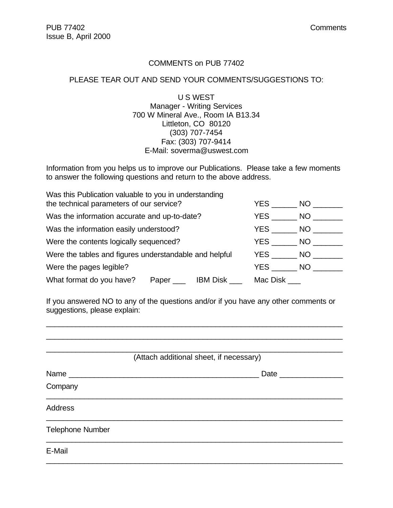#### COMMENTS on PUB 77402

### PLEASE TEAR OUT AND SEND YOUR COMMENTS/SUGGESTIONS TO:

U S WEST Manager - Writing Services 700 W Mineral Ave., Room IA B13.34 Littleton, CO 80120 (303) 707-7454 Fax: (303) 707-9414 E-Mail: soverma@uswest.com

Information from you helps us to improve our Publications. Please take a few moments to answer the following questions and return to the above address.

| Was this Publication valuable to you in understanding<br>the technical parameters of our service? |          | YES NO   |           |
|---------------------------------------------------------------------------------------------------|----------|----------|-----------|
| Was the information accurate and up-to-date?                                                      |          | YES      | <b>NO</b> |
| Was the information easily understood?                                                            |          | YES NO   |           |
| Were the contents logically sequenced?                                                            |          | YES NO   |           |
| Were the tables and figures understandable and helpful                                            |          | YES      | NO        |
| Were the pages legible?                                                                           |          | YES      | NO        |
| What format do you have?                                                                          | IBM Disk | Mac Disk |           |

If you answered NO to any of the questions and/or if you have any other comments or suggestions, please explain:

\_\_\_\_\_\_\_\_\_\_\_\_\_\_\_\_\_\_\_\_\_\_\_\_\_\_\_\_\_\_\_\_\_\_\_\_\_\_\_\_\_\_\_\_\_\_\_\_\_\_\_\_\_\_\_\_\_\_\_\_\_\_\_\_\_\_\_\_\_\_

|                         | (Attach additional sheet, if necessary) |
|-------------------------|-----------------------------------------|
|                         | <b>Date</b>                             |
| Company                 |                                         |
| <b>Address</b>          |                                         |
| <b>Telephone Number</b> |                                         |
| E-Mail                  |                                         |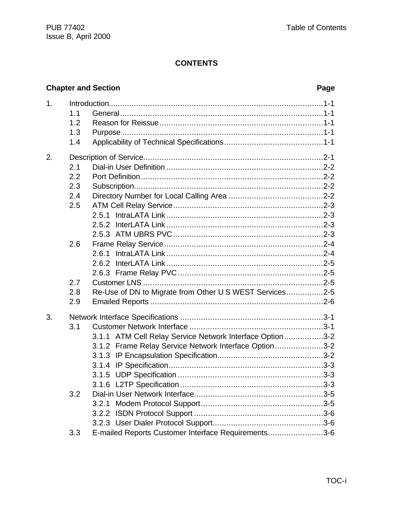|    |                          | <b>Chapter and Section</b>                               | Page |
|----|--------------------------|----------------------------------------------------------|------|
| 1. | 1.1<br>1.2<br>1.3<br>1.4 |                                                          |      |
| 2. |                          |                                                          |      |
|    | 2.1<br>2.2               |                                                          |      |
|    | 2.3                      |                                                          |      |
|    | 2.4                      |                                                          |      |
|    | 2.5                      |                                                          |      |
|    |                          |                                                          |      |
|    |                          |                                                          |      |
|    |                          |                                                          |      |
|    | 2.6                      |                                                          |      |
|    |                          | 2.6.1<br>2.6.2                                           |      |
|    |                          |                                                          |      |
|    | 2.7                      |                                                          |      |
|    | 2.8                      | Re-Use of DN to Migrate from Other U S WEST Services2-5  |      |
|    | 2.9                      |                                                          |      |
| 3. |                          |                                                          |      |
|    | 3.1                      |                                                          |      |
|    |                          | 3.1.1 ATM Cell Relay Service Network Interface Option3-2 |      |
|    |                          | 3.1.2 Frame Relay Service Network Interface Option3-2    |      |
|    |                          |                                                          |      |
|    |                          |                                                          |      |
|    |                          |                                                          |      |
|    | 3.2                      |                                                          |      |
|    |                          |                                                          |      |
|    |                          |                                                          |      |
|    |                          |                                                          |      |
|    | 3.3                      | E-mailed Reports Customer Interface Requirements3-6      |      |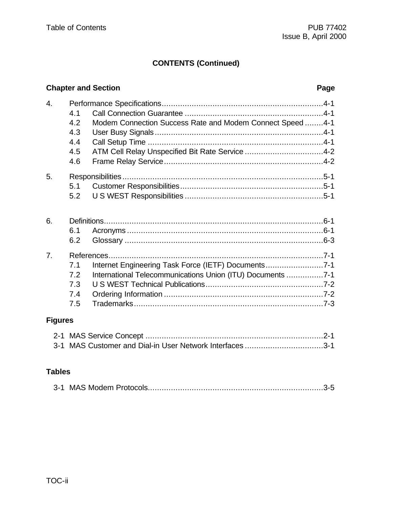# **CONTENTS (Continued)**

# **Chapter and Section** *Page*

| 4.               |     |                                                            |  |
|------------------|-----|------------------------------------------------------------|--|
|                  | 4.1 |                                                            |  |
|                  | 4.2 | Modem Connection Success Rate and Modem Connect Speed4-1   |  |
|                  | 4.3 |                                                            |  |
|                  | 4.4 |                                                            |  |
|                  | 4.5 | ATM Cell Relay Unspecified Bit Rate Service 4-2            |  |
|                  | 4.6 |                                                            |  |
| 5.               |     |                                                            |  |
|                  | 5.1 |                                                            |  |
|                  | 5.2 |                                                            |  |
|                  |     |                                                            |  |
| 6.               |     |                                                            |  |
|                  | 6.1 |                                                            |  |
|                  | 6.2 |                                                            |  |
| $\overline{7}$ . |     |                                                            |  |
|                  | 7.1 | Internet Engineering Task Force (IETF) Documents7-1        |  |
|                  | 7.2 | International Telecommunications Union (ITU) Documents 7-1 |  |
|                  | 7.3 |                                                            |  |
|                  | 7.4 |                                                            |  |
|                  | 7.5 |                                                            |  |
|                  |     |                                                            |  |

# **Figures**

| 3-1 MAS Customer and Dial-in User Network Interfaces 3-1 |  |
|----------------------------------------------------------|--|

# **Tables**

|--|--|--|--|--|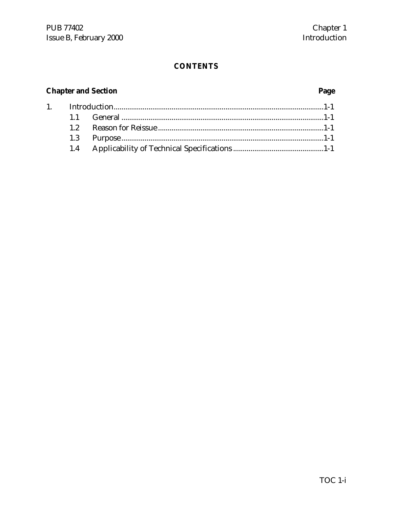# **Chapter and Section**

 $1.$ 

# Page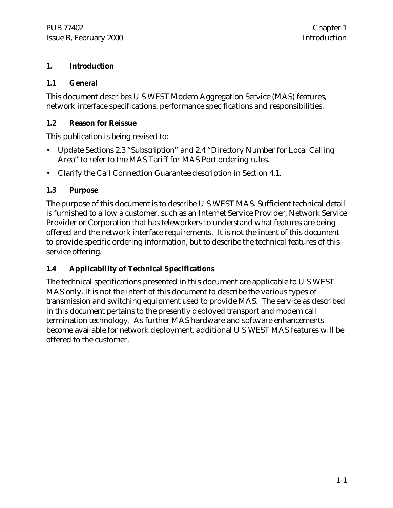# **1. Introduction**

# **1.1 General**

This document describes U S WEST Modem Aggregation Service (MAS) features, network interface specifications, performance specifications and responsibilities.

# **1.2 Reason for Reissue**

This publication is being revised to:

- Update Sections 2.3 "Subscription" and 2.4 "Directory Number for Local Calling Area" to refer to the MAS Tariff for MAS Port ordering rules.
- Clarify the Call Connection Guarantee description in Section 4.1.

# **1.3 Purpose**

The purpose of this document is to describe U S WEST MAS. Sufficient technical detail is furnished to allow a customer, such as an Internet Service Provider, Network Service Provider or Corporation that has teleworkers to understand what features are being offered and the network interface requirements. It is not the intent of this document to provide specific ordering information, but to describe the technical features of this service offering.

# **1.4 Applicability of Technical Specifications**

The technical specifications presented in this document are applicable to U S WEST MAS only. It is not the intent of this document to describe the various types of transmission and switching equipment used to provide MAS. The service as described in this document pertains to the presently deployed transport and modem call termination technology. As further MAS hardware and software enhancements become available for network deployment, additional U S WEST MAS features will be offered to the customer.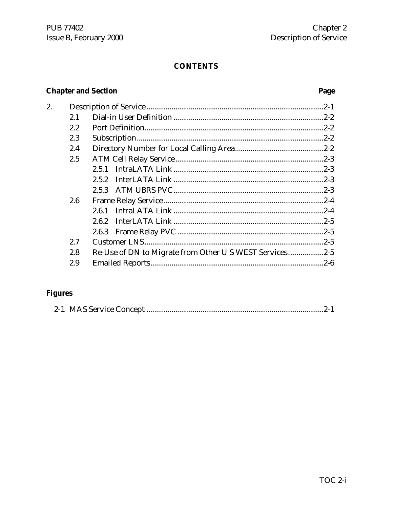# **Chapter and Section**

# Page

| 2. |     |                                                         |  |
|----|-----|---------------------------------------------------------|--|
|    | 2.1 |                                                         |  |
|    | 2.2 |                                                         |  |
|    | 2.3 |                                                         |  |
|    | 2.4 |                                                         |  |
|    | 2.5 |                                                         |  |
|    |     | 2.5.1                                                   |  |
|    |     | 2.5.2                                                   |  |
|    |     |                                                         |  |
|    | 2.6 |                                                         |  |
|    |     | 2.6.1                                                   |  |
|    |     | 2.6.2                                                   |  |
|    |     |                                                         |  |
|    | 2.7 |                                                         |  |
|    | 2.8 | Re-Use of DN to Migrate from Other U S WEST Services2-5 |  |
|    | 2.9 |                                                         |  |

# **Figures**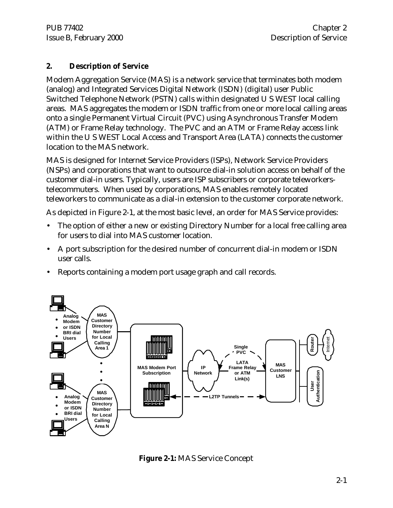PUB 77402 Chapter 2 Issue B, February 2000 Description of Service

# **2. Description of Service**

Modem Aggregation Service (MAS) is a network service that terminates both modem (analog) and Integrated Services Digital Network (ISDN) (digital) user Public Switched Telephone Network (PSTN) calls within designated U S WEST local calling areas. MAS aggregates the modem or ISDN traffic from one or more local calling areas onto a single Permanent Virtual Circuit (PVC) using Asynchronous Transfer Modem (ATM) or Frame Relay technology. The PVC and an ATM or Frame Relay access link within the U S WEST Local Access and Transport Area (LATA) connects the customer location to the MAS network.

MAS is designed for Internet Service Providers (ISPs), Network Service Providers (NSPs) and corporations that want to outsource dial-in solution access on behalf of the customer dial-in users. Typically, users are ISP subscribers or corporate teleworkerstelecommuters. When used by corporations, MAS enables remotely located teleworkers to communicate as a dial-in extension to the customer corporate network.

As depicted in Figure 2-1, at the most basic level, an order for MAS Service provides:

- The option of either a new or existing Directory Number for a local free calling area for users to dial into MAS customer location.
- A port subscription for the desired number of concurrent dial-in modem or ISDN user calls.
- Reports containing a modem port usage graph and call records.



**Figure 2-1:** MAS Service Concept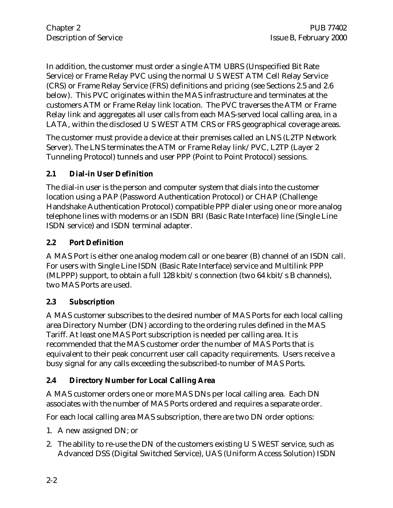In addition, the customer must order a single ATM UBRS (Unspecified Bit Rate Service) or Frame Relay PVC using the normal U S WEST ATM Cell Relay Service (CRS) or Frame Relay Service (FRS) definitions and pricing (see Sections 2.5 and 2.6 below). This PVC originates within the MAS infrastructure and terminates at the customers ATM or Frame Relay link location. The PVC traverses the ATM or Frame Relay link and aggregates all user calls from each MAS-served local calling area, in a LATA, within the disclosed U S WEST ATM CRS or FRS geographical coverage areas.

The customer must provide a device at their premises called an LNS (L2TP Network Server). The LNS terminates the ATM or Frame Relay link/PVC, L2TP (Layer 2 Tunneling Protocol) tunnels and user PPP (Point to Point Protocol) sessions.

# **2.1 Dial-in User Definition**

The dial-in user is the person and computer system that dials into the customer location using a PAP (Password Authentication Protocol) or CHAP (Challenge Handshake Authentication Protocol) compatible PPP dialer using one or more analog telephone lines with modems or an ISDN BRI (Basic Rate Interface) line (Single Line ISDN service) and ISDN terminal adapter.

# **2.2 Port Definition**

A MAS Port is either one analog modem call or one bearer (B) channel of an ISDN call. For users with Single Line ISDN (Basic Rate Interface) service and Multilink PPP (MLPPP) support, to obtain a full 128 kbit/s connection (two 64 kbit/s B channels), two MAS Ports are used.

# **2.3 Subscription**

A MAS customer subscribes to the desired number of MAS Ports for each local calling area Directory Number (DN) according to the ordering rules defined in the MAS Tariff. At least one MAS Port subscription is needed per calling area. It is recommended that the MAS customer order the number of MAS Ports that is equivalent to their peak concurrent user call capacity requirements. Users receive a busy signal for any calls exceeding the subscribed-to number of MAS Ports.

# **2.4 Directory Number for Local Calling Area**

A MAS customer orders one or more MAS DNs per local calling area. Each DN associates with the number of MAS Ports ordered and requires a separate order.

For each local calling area MAS subscription, there are two DN order options:

- 1. A new assigned DN; or
- 2. The ability to re-use the DN of the customers existing U S WEST service, such as Advanced DSS (Digital Switched Service), UAS (Uniform Access Solution) ISDN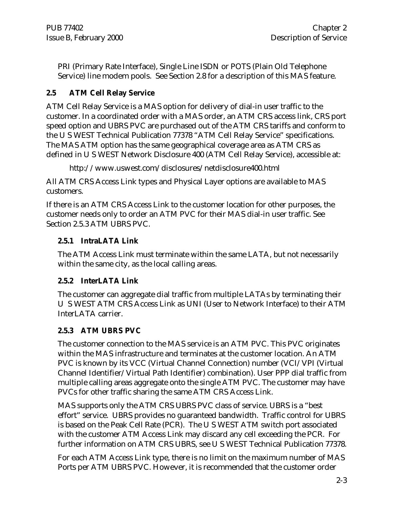PRI (Primary Rate Interface), Single Line ISDN or POTS (Plain Old Telephone Service) line modem pools. See Section 2.8 for a description of this MAS feature.

# **2.5 ATM Cell Relay Service**

ATM Cell Relay Service is a MAS option for delivery of dial-in user traffic to the customer. In a coordinated order with a MAS order, an ATM CRS access link, CRS port speed option and UBRS PVC are purchased out of the ATM CRS tariffs and conform to the U S WEST Technical Publication 77378 "ATM Cell Relay Service" specifications. The MAS ATM option has the same geographical coverage area as ATM CRS as defined in U S WEST Network Disclosure 400 (ATM Cell Relay Service), accessible at:

```
http://www.uswest.com/disclosures/netdisclosure400.html
```
All ATM CRS Access Link types and Physical Layer options are available to MAS customers.

If there is an ATM CRS Access Link to the customer location for other purposes, the customer needs only to order an ATM PVC for their MAS dial-in user traffic. See Section 2.5.3 ATM UBRS PVC.

# **2.5.1 IntraLATA Link**

The ATM Access Link must terminate within the same LATA, but not necessarily within the same city, as the local calling areas.

# **2.5.2 InterLATA Link**

The customer can aggregate dial traffic from multiple LATAs by terminating their U S WEST ATM CRS Access Link as UNI (User to Network Interface) to their ATM InterLATA carrier.

# **2.5.3 ATM UBRS PVC**

The customer connection to the MAS service is an ATM PVC. This PVC originates within the MAS infrastructure and terminates at the customer location. An ATM PVC is known by its VCC (Virtual Channel Connection) number (VCI/VPI (Virtual Channel Identifier/Virtual Path Identifier) combination). User PPP dial traffic from multiple calling areas aggregate onto the single ATM PVC. The customer may have PVCs for other traffic sharing the same ATM CRS Access Link.

MAS supports only the ATM CRS UBRS PVC class of service. UBRS is a "best effort" service. UBRS provides no guaranteed bandwidth. Traffic control for UBRS is based on the Peak Cell Rate (PCR). The U S WEST ATM switch port associated with the customer ATM Access Link may discard any cell exceeding the PCR. For further information on ATM CRS UBRS, see U S WEST Technical Publication 77378.

For each ATM Access Link type, there is no limit on the maximum number of MAS Ports per ATM UBRS PVC. However, it is recommended that the customer order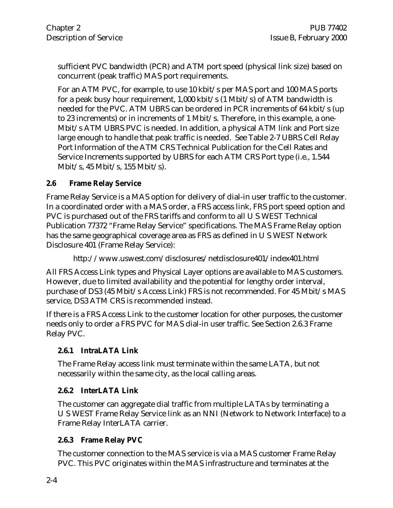sufficient PVC bandwidth (PCR) and ATM port speed (physical link size) based on concurrent (peak traffic) MAS port requirements.

For an ATM PVC, for example, to use 10 kbit/s per MAS port and 100 MAS ports for a peak busy hour requirement,  $1,000$  kbit/s  $(1 \text{ Mbit/s})$  of ATM bandwidth is needed for the PVC. ATM UBRS can be ordered in PCR increments of 64 kbit/s (up to 23 increments) or in increments of 1 Mbit/s. Therefore, in this example, a one-Mbit/s ATM UBRS PVC is needed. In addition, a physical ATM link and Port size large enough to handle that peak traffic is needed. See Table 2-7 UBRS Cell Relay Port Information of the ATM CRS Technical Publication for the Cell Rates and Service Increments supported by UBRS for each ATM CRS Port type (i.e., 1.544 Mbit/s, 45 Mbit/s, 155 Mbit/s).

# **2.6 Frame Relay Service**

Frame Relay Service is a MAS option for delivery of dial-in user traffic to the customer. In a coordinated order with a MAS order, a FRS access link, FRS port speed option and PVC is purchased out of the FRS tariffs and conform to all U S WEST Technical Publication 77372 "Frame Relay Service" specifications. The MAS Frame Relay option has the same geographical coverage area as FRS as defined in U S WEST Network Disclosure 401 (Frame Relay Service):

http://www.uswest.com/disclosures/netdisclosure401/index401.html

All FRS Access Link types and Physical Layer options are available to MAS customers. However, due to limited availability and the potential for lengthy order interval, purchase of DS3 (45 Mbit/s Access Link) FRS is not recommended. For 45 Mbit/s MAS service, DS3 ATM CRS is recommended instead.

If there is a FRS Access Link to the customer location for other purposes, the customer needs only to order a FRS PVC for MAS dial-in user traffic. See Section 2.6.3 Frame Relay PVC.

# **2.6.1 IntraLATA Link**

The Frame Relay access link must terminate within the same LATA, but not necessarily within the same city, as the local calling areas.

## **2.6.2 InterLATA Link**

The customer can aggregate dial traffic from multiple LATAs by terminating a U S WEST Frame Relay Service link as an NNI (Network to Network Interface) to a Frame Relay InterLATA carrier.

# **2.6.3 Frame Relay PVC**

The customer connection to the MAS service is via a MAS customer Frame Relay PVC. This PVC originates within the MAS infrastructure and terminates at the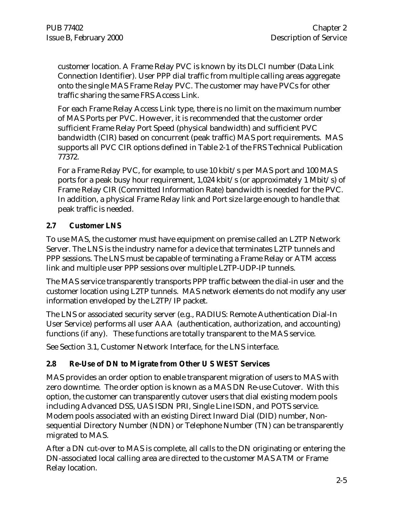customer location. A Frame Relay PVC is known by its DLCI number (Data Link Connection Identifier). User PPP dial traffic from multiple calling areas aggregate onto the single MAS Frame Relay PVC. The customer may have PVCs for other traffic sharing the same FRS Access Link.

For each Frame Relay Access Link type, there is no limit on the maximum number of MAS Ports per PVC. However, it is recommended that the customer order sufficient Frame Relay Port Speed (physical bandwidth) and sufficient PVC bandwidth (CIR) based on concurrent (peak traffic) MAS port requirements. MAS supports all PVC CIR options defined in Table 2-1 of the FRS Technical Publication 77372.

For a Frame Relay PVC, for example, to use 10 kbit/s per MAS port and 100 MAS ports for a peak busy hour requirement, 1,024 kbit/s (or approximately 1 Mbit/s) of Frame Relay CIR (Committed Information Rate) bandwidth is needed for the PVC. In addition, a physical Frame Relay link and Port size large enough to handle that peak traffic is needed.

# **2.7 Customer LNS**

To use MAS, the customer must have equipment on premise called an L2TP Network Server. The LNS is the industry name for a device that terminates L2TP tunnels and PPP sessions. The LNS must be capable of terminating a Frame Relay or ATM access link and multiple user PPP sessions over multiple L2TP-UDP-IP tunnels.

The MAS service transparently transports PPP traffic between the dial-in user and the customer location using L2TP tunnels. MAS network elements do not modify any user information enveloped by the L2TP/IP packet.

The LNS or associated security server (e.g., RADIUS: Remote Authentication Dial-In User Service) performs all user AAA (authentication, authorization, and accounting) functions (if any). These functions are totally transparent to the MAS service.

See Section 3.1, Customer Network Interface, for the LNS interface.

# **2.8 Re-Use of DN to Migrate from Other U S WEST Services**

MAS provides an order option to enable transparent migration of users to MAS with zero downtime. The order option is known as a MAS DN Re-use Cutover. With this option, the customer can transparently cutover users that dial existing modem pools including Advanced DSS, UAS ISDN PRI, Single Line ISDN, and POTS service. Modem pools associated with an existing Direct Inward Dial (DID) number, Nonsequential Directory Number (NDN) or Telephone Number (TN) can be transparently migrated to MAS.

After a DN cut-over to MAS is complete, all calls to the DN originating or entering the DN-associated local calling area are directed to the customer MAS ATM or Frame Relay location.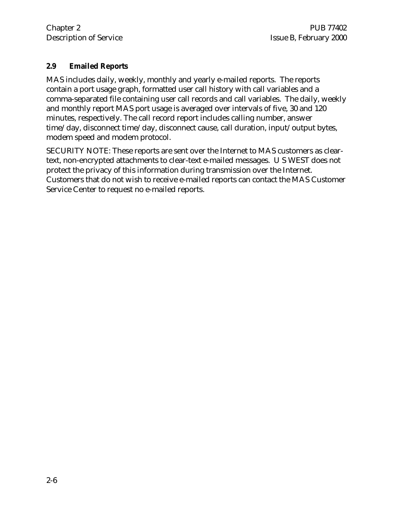### **2.9 Emailed Reports**

MAS includes daily, weekly, monthly and yearly e-mailed reports. The reports contain a port usage graph, formatted user call history with call variables and a comma-separated file containing user call records and call variables. The daily, weekly and monthly report MAS port usage is averaged over intervals of five, 30 and 120 minutes, respectively. The call record report includes calling number, answer time/day, disconnect time/day, disconnect cause, call duration, input/output bytes, modem speed and modem protocol.

SECURITY NOTE: These reports are sent over the Internet to MAS customers as cleartext, non-encrypted attachments to clear-text e-mailed messages. U S WEST does not protect the privacy of this information during transmission over the Internet. Customers that do not wish to receive e-mailed reports can contact the MAS Customer Service Center to request no e-mailed reports.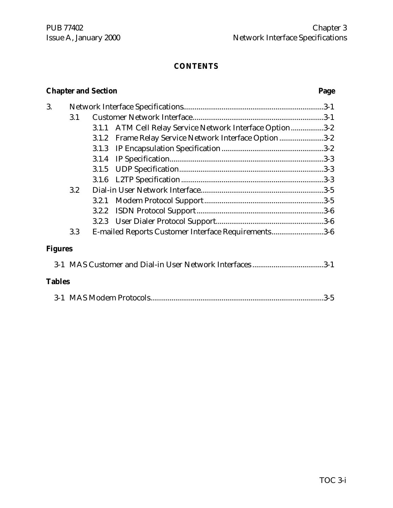# **Chapter and Section Page**

| 3.             |     |       |                                                     |       |
|----------------|-----|-------|-----------------------------------------------------|-------|
|                | 3.1 |       |                                                     |       |
|                |     | 3.1.1 | ATM Cell Relay Service Network Interface Option3-2  |       |
|                |     | 3.1.2 | Frame Relay Service Network Interface Option 3-2    |       |
|                |     | 3.1.3 |                                                     |       |
|                |     | 3.1.4 |                                                     |       |
|                |     | 3.1.5 |                                                     |       |
|                |     | 3.1.6 |                                                     |       |
|                | 3.2 |       |                                                     |       |
|                |     | 3.2.1 |                                                     |       |
|                |     | 3.2.2 |                                                     |       |
|                |     |       |                                                     |       |
|                | 3.3 |       | E-mailed Reports Customer Interface Requirements3-6 |       |
| <b>Figures</b> |     |       |                                                     |       |
|                |     |       |                                                     |       |
| <b>Tables</b>  |     |       |                                                     |       |
|                |     |       |                                                     | $3-5$ |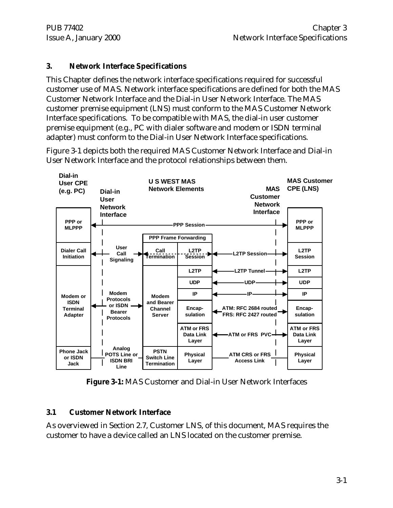# **3. Network Interface Specifications**

This Chapter defines the network interface specifications required for successful customer use of MAS. Network interface specifications are defined for both the MAS Customer Network Interface and the Dial-in User Network Interface. The MAS customer premise equipment (LNS) must conform to the MAS Customer Network Interface specifications. To be compatible with MAS, the dial-in user customer premise equipment (e.g., PC with dialer software and modem or ISDN terminal adapter) must conform to the Dial-in User Network Interface specifications.

Figure 3-1 depicts both the required MAS Customer Network Interface and Dial-in User Network Interface and the protocol relationships between them.



**Figure 3-1:** MAS Customer and Dial-in User Network Interfaces

# **3.1 Customer Network Interface**

As overviewed in Section 2.7, Customer LNS, of this document, MAS requires the customer to have a device called an LNS located on the customer premise.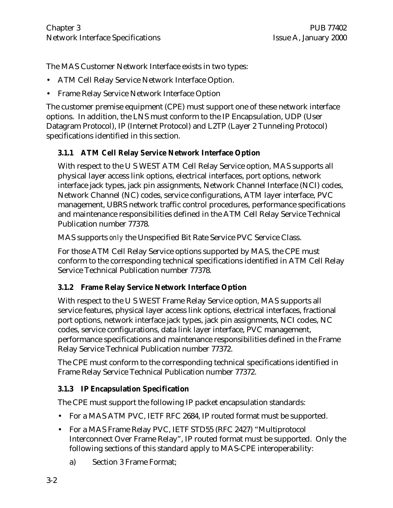The MAS Customer Network Interface exists in two types:

- ATM Cell Relay Service Network Interface Option.
- Frame Relay Service Network Interface Option

The customer premise equipment (CPE) must support one of these network interface options. In addition, the LNS must conform to the IP Encapsulation, UDP (User Datagram Protocol), IP (Internet Protocol) and L2TP (Layer 2 Tunneling Protocol) specifications identified in this section.

# **3.1.1 ATM Cell Relay Service Network Interface Option**

With respect to the U S WEST ATM Cell Relay Service option, MAS supports all physical layer access link options, electrical interfaces, port options, network interface jack types, jack pin assignments, Network Channel Interface (NCI) codes, Network Channel (NC) codes, service configurations, ATM layer interface, PVC management, UBRS network traffic control procedures, performance specifications and maintenance responsibilities defined in the ATM Cell Relay Service Technical Publication number 77378.

MAS supports *only* the Unspecified Bit Rate Service PVC Service Class.

For those ATM Cell Relay Service options supported by MAS, the CPE must conform to the corresponding technical specifications identified in ATM Cell Relay Service Technical Publication number 77378.

# **3.1.2 Frame Relay Service Network Interface Option**

With respect to the U S WEST Frame Relay Service option, MAS supports all service features, physical layer access link options, electrical interfaces, fractional port options, network interface jack types, jack pin assignments, NCI codes, NC codes, service configurations, data link layer interface, PVC management, performance specifications and maintenance responsibilities defined in the Frame Relay Service Technical Publication number 77372.

The CPE must conform to the corresponding technical specifications identified in Frame Relay Service Technical Publication number 77372.

# **3.1.3 IP Encapsulation Specification**

The CPE must support the following IP packet encapsulation standards:

- For a MAS ATM PVC, IETF RFC 2684, IP routed format must be supported.
- For a MAS Frame Relay PVC, IETF STD55 (RFC 2427) "Multiprotocol Interconnect Over Frame Relay", IP routed format must be supported. Only the following sections of this standard apply to MAS-CPE interoperability:
	- a) Section 3 Frame Format;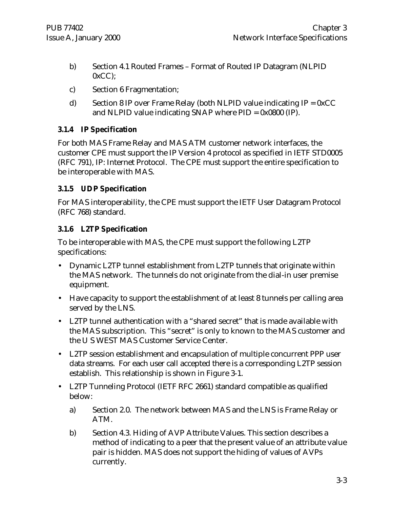- b) Section 4.1 Routed Frames Format of Routed IP Datagram (NLPID  $0xCC$ );
- c) Section 6 Fragmentation;
- d) Section 8 IP over Frame Relay (both NLPID value indicating  $IP = 0xCC$ and NLPID value indicating SNAP where  $PID = 0x0800$  (IP).

# **3.1.4 IP Specification**

For both MAS Frame Relay and MAS ATM customer network interfaces, the customer CPE must support the IP Version 4 protocol as specified in IETF STD0005 (RFC 791), IP: Internet Protocol. The CPE must support the entire specification to be interoperable with MAS.

## **3.1.5 UDP Specification**

For MAS interoperability, the CPE must support the IETF User Datagram Protocol (RFC 768) standard.

# **3.1.6 L2TP Specification**

To be interoperable with MAS, the CPE must support the following L2TP specifications:

- Dynamic L2TP tunnel establishment from L2TP tunnels that originate within the MAS network. The tunnels do not originate from the dial-in user premise equipment.
- Have capacity to support the establishment of at least 8 tunnels per calling area served by the LNS.
- L2TP tunnel authentication with a "shared secret" that is made available with the MAS subscription. This "secret" is only to known to the MAS customer and the U S WEST MAS Customer Service Center.
- L2TP session establishment and encapsulation of multiple concurrent PPP user data streams. For each user call accepted there is a corresponding L2TP session establish. This relationship is shown in Figure 3-1.
- L2TP Tunneling Protocol (IETF RFC 2661) standard compatible as qualified below:
	- a) Section 2.0. The network between MAS and the LNS is Frame Relay or ATM.
	- b) Section 4.3. Hiding of AVP Attribute Values. This section describes a method of indicating to a peer that the present value of an attribute value pair is hidden. MAS does not support the hiding of values of AVPs currently.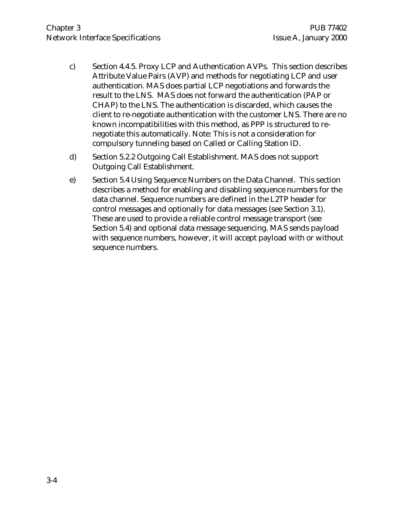- c) Section 4.4.5. Proxy LCP and Authentication AVPs. This section describes Attribute Value Pairs (AVP) and methods for negotiating LCP and user authentication. MAS does partial LCP negotiations and forwards the result to the LNS. MAS does not forward the authentication (PAP or CHAP) to the LNS. The authentication is discarded, which causes the client to re-negotiate authentication with the customer LNS. There are no known incompatibilities with this method, as PPP is structured to renegotiate this automatically. Note: This is not a consideration for compulsory tunneling based on Called or Calling Station ID.
- d) Section 5.2.2 Outgoing Call Establishment. MAS does not support Outgoing Call Establishment.
- e) Section 5.4 Using Sequence Numbers on the Data Channel. This section describes a method for enabling and disabling sequence numbers for the data channel. Sequence numbers are defined in the L2TP header for control messages and optionally for data messages (see Section 3.1). These are used to provide a reliable control message transport (see Section 5.4) and optional data message sequencing. MAS sends payload with sequence numbers, however, it will accept payload with or without sequence numbers.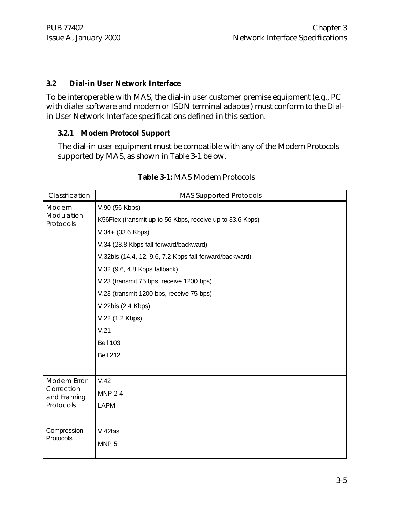# **3.2 Dial-in User Network Interface**

To be interoperable with MAS, the dial-in user customer premise equipment (e.g., PC with dialer software and modem or ISDN terminal adapter) must conform to the Dialin User Network Interface specifications defined in this section.

# **3.2.1 Modem Protocol Support**

The dial-in user equipment must be compatible with any of the Modem Protocols supported by MAS, as shown in Table 3-1 below.

| Classification            | <b>MAS Supported Protocols</b>                            |
|---------------------------|-----------------------------------------------------------|
| Modem                     | V.90 (56 Kbps)                                            |
| Modulation<br>Protocols   | K56Flex (transmit up to 56 Kbps, receive up to 33.6 Kbps) |
|                           | V.34+ (33.6 Kbps)                                         |
|                           | V.34 (28.8 Kbps fall forward/backward)                    |
|                           | V.32bis (14.4, 12, 9.6, 7.2 Kbps fall forward/backward)   |
|                           | V.32 (9.6, 4.8 Kbps fallback)                             |
|                           | V.23 (transmit 75 bps, receive 1200 bps)                  |
|                           | V.23 (transmit 1200 bps, receive 75 bps)                  |
|                           | V.22bis (2.4 Kbps)                                        |
|                           | V.22 (1.2 Kbps)                                           |
|                           | V.21                                                      |
|                           | <b>Bell 103</b>                                           |
|                           | <b>Bell 212</b>                                           |
|                           |                                                           |
| Modem Error               | V.42                                                      |
| Correction<br>and Framing | <b>MNP 2-4</b>                                            |
| Protocols                 | <b>LAPM</b>                                               |
|                           |                                                           |
| Compression               | V.42bis                                                   |
| Protocols                 | MNP <sub>5</sub>                                          |
|                           |                                                           |

# **Table 3-1:** MAS Modem Protocols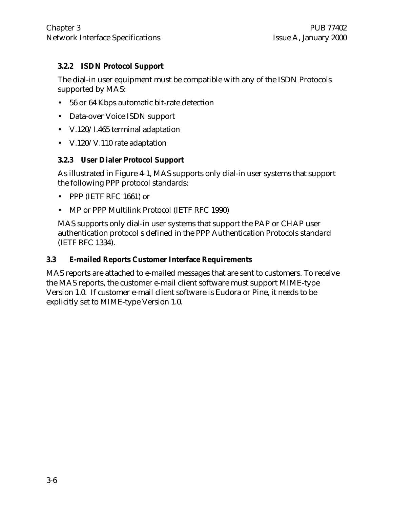# **3.2.2 ISDN Protocol Support**

The dial-in user equipment must be compatible with any of the ISDN Protocols supported by MAS:

- 56 or 64 Kbps automatic bit-rate detection
- Data-over Voice ISDN support
- V.120/I.465 terminal adaptation
- V.120/V.110 rate adaptation

# **3.2.3 User Dialer Protocol Support**

As illustrated in Figure 4-1, MAS supports only dial-in user systems that support the following PPP protocol standards:

- PPP (IETF RFC 1661) or
- MP or PPP Multilink Protocol (IETF RFC 1990)

MAS supports only dial-in user systems that support the PAP or CHAP user authentication protocol s defined in the PPP Authentication Protocols standard (IETF RFC 1334).

## **3.3 E-mailed Reports Customer Interface Requirements**

MAS reports are attached to e-mailed messages that are sent to customers. To receive the MAS reports, the customer e-mail client software must support MIME-type Version 1.0. If customer e-mail client software is Eudora or Pine, it needs to be explicitly set to MIME-type Version 1.0.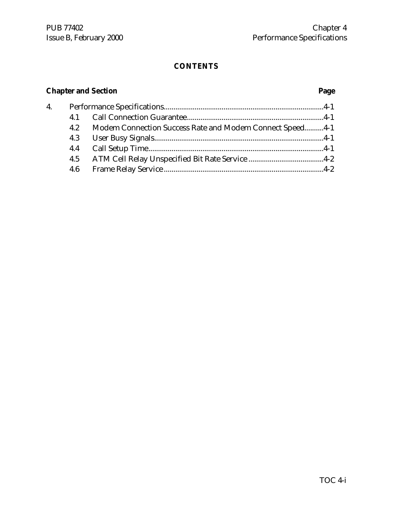# **Chapter and Section Page**

| 4. |     |                                                          |  |
|----|-----|----------------------------------------------------------|--|
|    | 4.1 |                                                          |  |
|    | 4.2 | Modem Connection Success Rate and Modem Connect Speed4-1 |  |
|    | 4.3 |                                                          |  |
|    | 4.4 |                                                          |  |
|    | 4.5 |                                                          |  |
|    | 4.6 |                                                          |  |
|    |     |                                                          |  |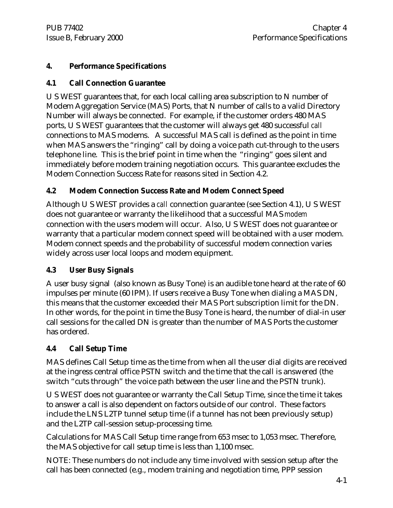# **4. Performance Specifications**

# **4.1 Call Connection Guarantee**

U S WEST guarantees that, for each local calling area subscription to N number of Modem Aggregation Service (MAS) Ports, that N number of calls to a valid Directory Number will always be connected. For example, if the customer orders 480 MAS ports, U S WEST guarantees that the customer will always get 480 successful *call* connections to MAS modems. A successful MAS call is defined as the point in time when MAS answers the "ringing" call by doing a voice path cut-through to the users telephone line. This is the brief point in time when the "ringing" goes silent and immediately before modem training negotiation occurs. This guarantee excludes the Modem Connection Success Rate for reasons sited in Section 4.2.

# **4.2 Modem Connection Success Rate and Modem Connect Speed**

Although U S WEST provides a *call* connection guarantee (see Section 4.1), U S WEST does not guarantee or warranty the likelihood that a successful MAS *modem* connection with the users modem will occur. Also, U S WEST does not guarantee or warranty that a particular modem connect speed will be obtained with a user modem. Modem connect speeds and the probability of successful modem connection varies widely across user local loops and modem equipment.

# **4.3 User Busy Signals**

A user busy signal (also known as Busy Tone) is an audible tone heard at the rate of 60 impulses per minute (60 IPM). If users receive a Busy Tone when dialing a MAS DN, this means that the customer exceeded their MAS Port subscription limit for the DN. In other words, for the point in time the Busy Tone is heard, the number of dial-in user call sessions for the called DN is greater than the number of MAS Ports the customer has ordered.

# **4.4 Call Setup Time**

MAS defines Call Setup time as the time from when all the user dial digits are received at the ingress central office PSTN switch and the time that the call is answered (the switch "cuts through" the voice path between the user line and the PSTN trunk).

U S WEST does not guarantee or warranty the Call Setup Time, since the time it takes to answer a call is also dependent on factors outside of our control. These factors include the LNS L2TP tunnel setup time (if a tunnel has not been previously setup) and the L2TP call-session setup-processing time.

Calculations for MAS Call Setup time range from 653 msec to 1,053 msec. Therefore, the MAS objective for call setup time is less than 1,100 msec.

NOTE: These numbers do not include any time involved with session setup after the call has been connected (e.g., modem training and negotiation time, PPP session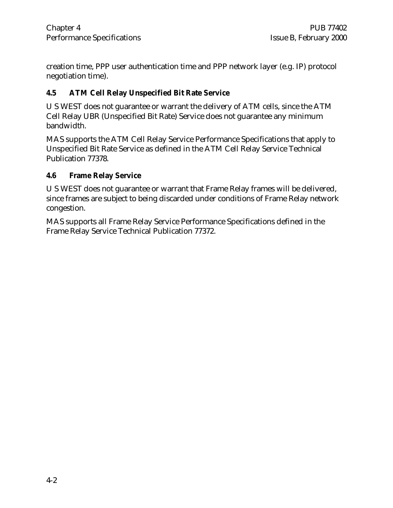creation time, PPP user authentication time and PPP network layer (e.g. IP) protocol negotiation time).

# **4.5 ATM Cell Relay Unspecified Bit Rate Service**

U S WEST does not guarantee or warrant the delivery of ATM cells, since the ATM Cell Relay UBR (Unspecified Bit Rate) Service does not guarantee any minimum bandwidth.

MAS supports the ATM Cell Relay Service Performance Specifications that apply to Unspecified Bit Rate Service as defined in the ATM Cell Relay Service Technical Publication 77378.

### **4.6 Frame Relay Service**

U S WEST does not guarantee or warrant that Frame Relay frames will be delivered, since frames are subject to being discarded under conditions of Frame Relay network congestion.

MAS supports all Frame Relay Service Performance Specifications defined in the Frame Relay Service Technical Publication 77372.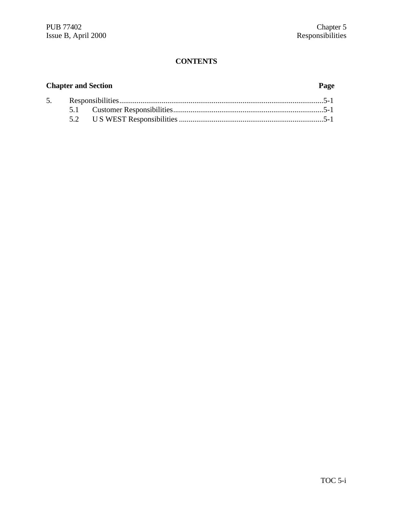# **Chapter and Section Page**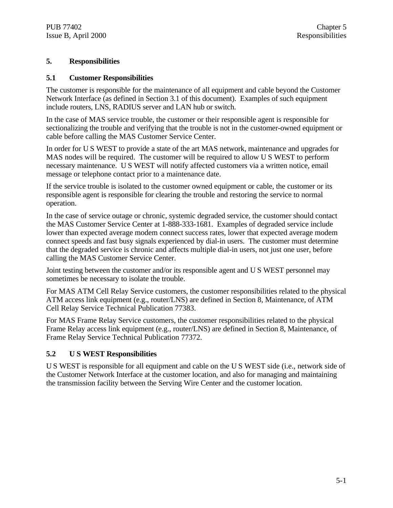#### **5. Responsibilities**

#### **5.1 Customer Responsibilities**

The customer is responsible for the maintenance of all equipment and cable beyond the Customer Network Interface (as defined in Section 3.1 of this document). Examples of such equipment include routers, LNS, RADIUS server and LAN hub or switch.

In the case of MAS service trouble, the customer or their responsible agent is responsible for sectionalizing the trouble and verifying that the trouble is not in the customer-owned equipment or cable before calling the MAS Customer Service Center.

In order for U S WEST to provide a state of the art MAS network, maintenance and upgrades for MAS nodes will be required. The customer will be required to allow U S WEST to perform necessary maintenance. U S WEST will notify affected customers via a written notice, email message or telephone contact prior to a maintenance date.

If the service trouble is isolated to the customer owned equipment or cable, the customer or its responsible agent is responsible for clearing the trouble and restoring the service to normal operation.

In the case of service outage or chronic, systemic degraded service, the customer should contact the MAS Customer Service Center at 1-888-333-1681. Examples of degraded service include lower than expected average modem connect success rates, lower that expected average modem connect speeds and fast busy signals experienced by dial-in users. The customer must determine that the degraded service is chronic and affects multiple dial-in users, not just one user, before calling the MAS Customer Service Center.

Joint testing between the customer and/or its responsible agent and U S WEST personnel may sometimes be necessary to isolate the trouble.

For MAS ATM Cell Relay Service customers, the customer responsibilities related to the physical ATM access link equipment (e.g., router/LNS) are defined in Section 8, Maintenance, of ATM Cell Relay Service Technical Publication 77383.

For MAS Frame Relay Service customers, the customer responsibilities related to the physical Frame Relay access link equipment (e.g., router/LNS) are defined in Section 8, Maintenance, of Frame Relay Service Technical Publication 77372.

#### **5.2 U S WEST Responsibilities**

U S WEST is responsible for all equipment and cable on the U S WEST side (i.e., network side of the Customer Network Interface at the customer location, and also for managing and maintaining the transmission facility between the Serving Wire Center and the customer location.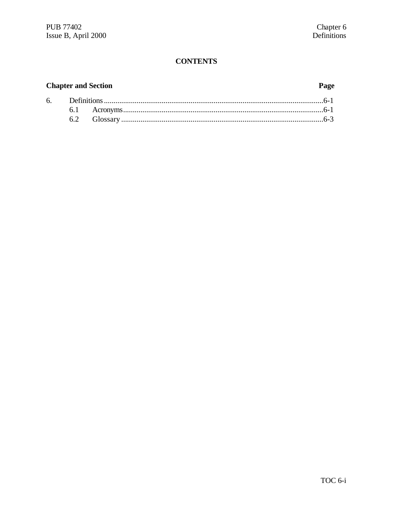# **Chapter and Section**

# Page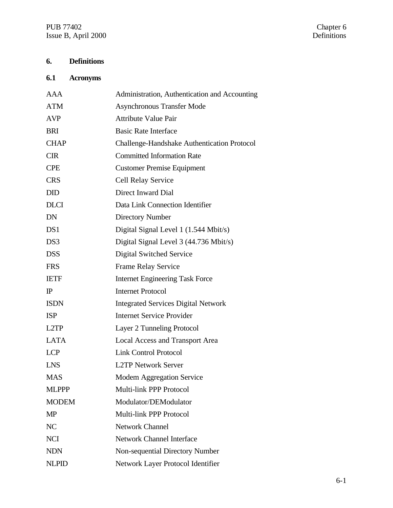PUB 77402 Chapter 6 Issue B, April 2000 Definitions

# **6. Definitions**

# **6.1 Acronyms**

| AAA               | Administration, Authentication and Accounting |
|-------------------|-----------------------------------------------|
| <b>ATM</b>        | <b>Asynchronous Transfer Mode</b>             |
| <b>AVP</b>        | <b>Attribute Value Pair</b>                   |
| <b>BRI</b>        | <b>Basic Rate Interface</b>                   |
| <b>CHAP</b>       | Challenge-Handshake Authentication Protocol   |
| <b>CIR</b>        | <b>Committed Information Rate</b>             |
| <b>CPE</b>        | <b>Customer Premise Equipment</b>             |
| <b>CRS</b>        | <b>Cell Relay Service</b>                     |
| <b>DID</b>        | Direct Inward Dial                            |
| <b>DLCI</b>       | Data Link Connection Identifier               |
| <b>DN</b>         | <b>Directory Number</b>                       |
| DS1               | Digital Signal Level 1 (1.544 Mbit/s)         |
| DS3               | Digital Signal Level 3 (44.736 Mbit/s)        |
| <b>DSS</b>        | Digital Switched Service                      |
| <b>FRS</b>        | Frame Relay Service                           |
| <b>IETF</b>       | <b>Internet Engineering Task Force</b>        |
| $\mathbb{P}$      | <b>Internet Protocol</b>                      |
| <b>ISDN</b>       | <b>Integrated Services Digital Network</b>    |
| <b>ISP</b>        | <b>Internet Service Provider</b>              |
| L <sub>2</sub> TP | Layer 2 Tunneling Protocol                    |
| <b>LATA</b>       | <b>Local Access and Transport Area</b>        |
| <b>LCP</b>        | <b>Link Control Protocol</b>                  |
| <b>LNS</b>        | <b>L2TP Network Server</b>                    |
| <b>MAS</b>        | Modem Aggregation Service                     |
| <b>MLPPP</b>      | Multi-link PPP Protocol                       |
| <b>MODEM</b>      | Modulator/DEModulator                         |
| <b>MP</b>         | Multi-link PPP Protocol                       |
| N <sub>C</sub>    | <b>Network Channel</b>                        |
| <b>NCI</b>        | <b>Network Channel Interface</b>              |
| <b>NDN</b>        | Non-sequential Directory Number               |
| <b>NLPID</b>      | Network Layer Protocol Identifier             |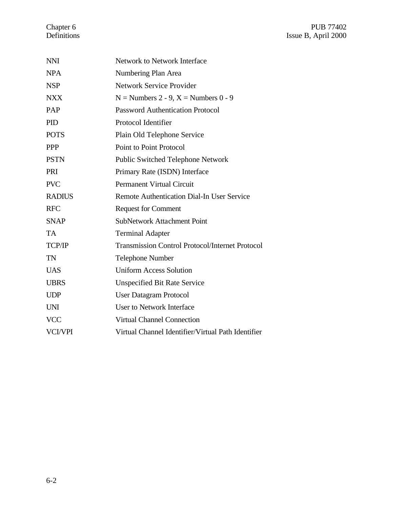| <b>NNI</b>     | Network to Network Interface                           |
|----------------|--------------------------------------------------------|
| <b>NPA</b>     | Numbering Plan Area                                    |
| <b>NSP</b>     | <b>Network Service Provider</b>                        |
| <b>NXX</b>     | $N =$ Numbers 2 - 9, $X =$ Numbers 0 - 9               |
| PAP            | <b>Password Authentication Protocol</b>                |
| <b>PID</b>     | Protocol Identifier                                    |
| <b>POTS</b>    | Plain Old Telephone Service                            |
| <b>PPP</b>     | <b>Point to Point Protocol</b>                         |
| <b>PSTN</b>    | <b>Public Switched Telephone Network</b>               |
| PRI            | Primary Rate (ISDN) Interface                          |
| <b>PVC</b>     | <b>Permanent Virtual Circuit</b>                       |
| <b>RADIUS</b>  | <b>Remote Authentication Dial-In User Service</b>      |
| <b>RFC</b>     | <b>Request for Comment</b>                             |
| <b>SNAP</b>    | <b>SubNetwork Attachment Point</b>                     |
| <b>TA</b>      | <b>Terminal Adapter</b>                                |
| TCP/IP         | <b>Transmission Control Protocol/Internet Protocol</b> |
| <b>TN</b>      | <b>Telephone Number</b>                                |
| <b>UAS</b>     | <b>Uniform Access Solution</b>                         |
| <b>UBRS</b>    | <b>Unspecified Bit Rate Service</b>                    |
| <b>UDP</b>     | <b>User Datagram Protocol</b>                          |
| <b>UNI</b>     | <b>User to Network Interface</b>                       |
| <b>VCC</b>     | <b>Virtual Channel Connection</b>                      |
| <b>VCI/VPI</b> | Virtual Channel Identifier/Virtual Path Identifier     |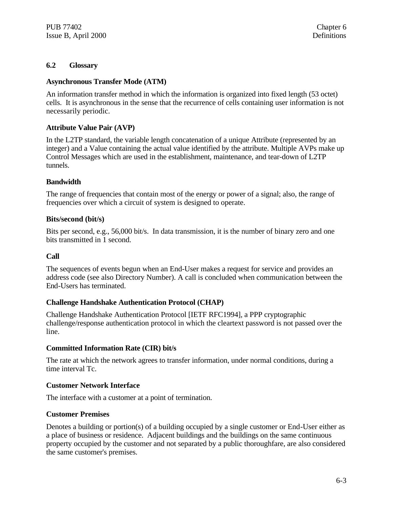#### **6.2 Glossary**

#### **Asynchronous Transfer Mode (ATM)**

An information transfer method in which the information is organized into fixed length (53 octet) cells. It is asynchronous in the sense that the recurrence of cells containing user information is not necessarily periodic.

#### **Attribute Value Pair (AVP)**

In the L2TP standard, the variable length concatenation of a unique Attribute (represented by an integer) and a Value containing the actual value identified by the attribute. Multiple AVPs make up Control Messages which are used in the establishment, maintenance, and tear-down of L2TP tunnels.

#### **Bandwidth**

The range of frequencies that contain most of the energy or power of a signal; also, the range of frequencies over which a circuit of system is designed to operate.

#### **Bits/second (bit/s)**

Bits per second, e.g., 56,000 bit/s. In data transmission, it is the number of binary zero and one bits transmitted in 1 second.

#### **Call**

The sequences of events begun when an End-User makes a request for service and provides an address code (see also Directory Number). A call is concluded when communication between the End-Users has terminated.

#### **Challenge Handshake Authentication Protocol (CHAP)**

Challenge Handshake Authentication Protocol [IETF RFC1994], a PPP cryptographic challenge/response authentication protocol in which the cleartext password is not passed over the line.

#### **Committed Information Rate (CIR) bit/s**

The rate at which the network agrees to transfer information, under normal conditions, during a time interval Tc.

#### **Customer Network Interface**

The interface with a customer at a point of termination.

#### **Customer Premises**

Denotes a building or portion(s) of a building occupied by a single customer or End-User either as a place of business or residence. Adjacent buildings and the buildings on the same continuous property occupied by the customer and not separated by a public thoroughfare, are also considered the same customer's premises.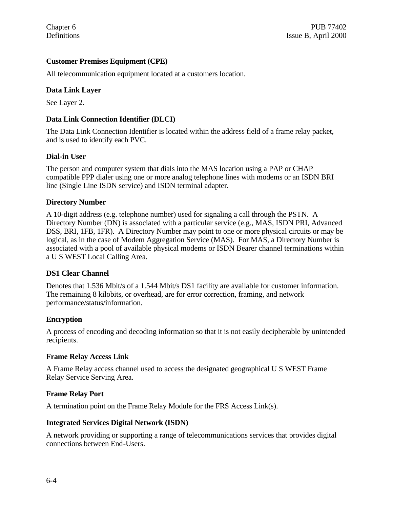#### **Customer Premises Equipment (CPE)**

All telecommunication equipment located at a customers location.

#### **Data Link Layer**

See Layer 2.

#### **Data Link Connection Identifier (DLCI)**

The Data Link Connection Identifier is located within the address field of a frame relay packet, and is used to identify each PVC.

#### **Dial-in User**

The person and computer system that dials into the MAS location using a PAP or CHAP compatible PPP dialer using one or more analog telephone lines with modems or an ISDN BRI line (Single Line ISDN service) and ISDN terminal adapter.

#### **Directory Number**

A 10-digit address (e.g. telephone number) used for signaling a call through the PSTN. A Directory Number (DN) is associated with a particular service (e.g., MAS, ISDN PRI, Advanced DSS, BRI, 1FB, 1FR). A Directory Number may point to one or more physical circuits or may be logical, as in the case of Modem Aggregation Service (MAS). For MAS, a Directory Number is associated with a pool of available physical modems or ISDN Bearer channel terminations within a U S WEST Local Calling Area.

#### **DS1 Clear Channel**

Denotes that 1.536 Mbit/s of a 1.544 Mbit/s DS1 facility are available for customer information. The remaining 8 kilobits, or overhead, are for error correction, framing, and network performance/status/information.

#### **Encryption**

A process of encoding and decoding information so that it is not easily decipherable by unintended recipients.

#### **Frame Relay Access Link**

A Frame Relay access channel used to access the designated geographical U S WEST Frame Relay Service Serving Area.

#### **Frame Relay Port**

A termination point on the Frame Relay Module for the FRS Access Link(s).

#### **Integrated Services Digital Network (ISDN)**

A network providing or supporting a range of telecommunications services that provides digital connections between End-Users.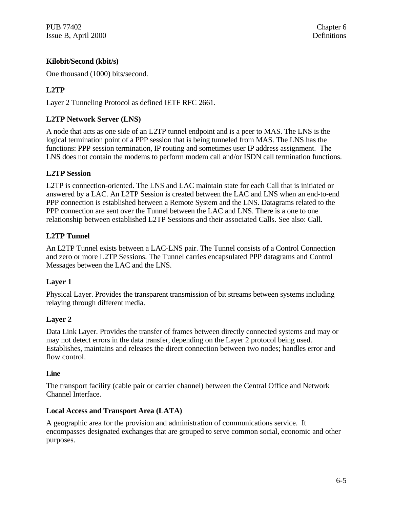PUB 77402 Chapter 6 Issue B, April 2000 Definitions

#### **Kilobit/Second (kbit/s)**

One thousand (1000) bits/second.

## **L2TP**

Layer 2 Tunneling Protocol as defined IETF RFC 2661.

#### **L2TP Network Server (LNS)**

A node that acts as one side of an L2TP tunnel endpoint and is a peer to MAS. The LNS is the logical termination point of a PPP session that is being tunneled from MAS. The LNS has the functions: PPP session termination, IP routing and sometimes user IP address assignment. The LNS does not contain the modems to perform modem call and/or ISDN call termination functions.

#### **L2TP Session**

L2TP is connection-oriented. The LNS and LAC maintain state for each Call that is initiated or answered by a LAC. An L2TP Session is created between the LAC and LNS when an end-to-end PPP connection is established between a Remote System and the LNS. Datagrams related to the PPP connection are sent over the Tunnel between the LAC and LNS. There is a one to one relationship between established L2TP Sessions and their associated Calls. See also: Call.

#### **L2TP Tunnel**

An L2TP Tunnel exists between a LAC-LNS pair. The Tunnel consists of a Control Connection and zero or more L2TP Sessions. The Tunnel carries encapsulated PPP datagrams and Control Messages between the LAC and the LNS.

#### **Layer 1**

Physical Layer. Provides the transparent transmission of bit streams between systems including relaying through different media.

#### **Layer 2**

Data Link Layer. Provides the transfer of frames between directly connected systems and may or may not detect errors in the data transfer, depending on the Layer 2 protocol being used. Establishes, maintains and releases the direct connection between two nodes; handles error and flow control.

#### **Line**

The transport facility (cable pair or carrier channel) between the Central Office and Network Channel Interface.

#### **Local Access and Transport Area (LATA)**

A geographic area for the provision and administration of communications service. It encompasses designated exchanges that are grouped to serve common social, economic and other purposes.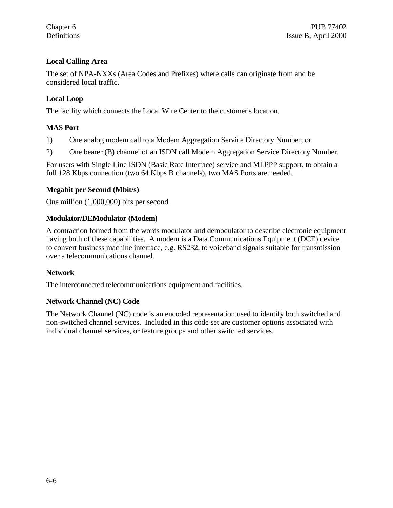### **Local Calling Area**

The set of NPA-NXXs (Area Codes and Prefixes) where calls can originate from and be considered local traffic.

#### **Local Loop**

The facility which connects the Local Wire Center to the customer's location.

#### **MAS Port**

1) One analog modem call to a Modem Aggregation Service Directory Number; or

2) One bearer (B) channel of an ISDN call Modem Aggregation Service Directory Number.

For users with Single Line ISDN (Basic Rate Interface) service and MLPPP support, to obtain a full 128 Kbps connection (two 64 Kbps B channels), two MAS Ports are needed.

#### **Megabit per Second (Mbit/s)**

One million (1,000,000) bits per second

#### **Modulator/DEModulator (Modem)**

A contraction formed from the words modulator and demodulator to describe electronic equipment having both of these capabilities. A modem is a Data Communications Equipment (DCE) device to convert business machine interface, e.g. RS232, to voiceband signals suitable for transmission over a telecommunications channel.

#### **Network**

The interconnected telecommunications equipment and facilities.

#### **Network Channel (NC) Code**

The Network Channel (NC) code is an encoded representation used to identify both switched and non-switched channel services. Included in this code set are customer options associated with individual channel services, or feature groups and other switched services.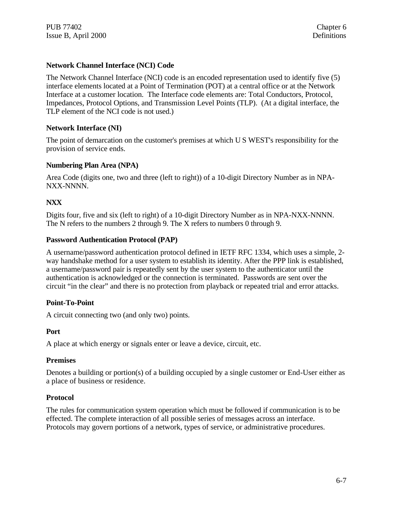### **Network Channel Interface (NCI) Code**

The Network Channel Interface (NCI) code is an encoded representation used to identify five (5) interface elements located at a Point of Termination (POT) at a central office or at the Network Interface at a customer location. The Interface code elements are: Total Conductors, Protocol, Impedances, Protocol Options, and Transmission Level Points (TLP). (At a digital interface, the TLP element of the NCI code is not used.)

#### **Network Interface (NI)**

The point of demarcation on the customer's premises at which U S WEST's responsibility for the provision of service ends.

#### **Numbering Plan Area (NPA)**

Area Code (digits one, two and three (left to right)) of a 10-digit Directory Number as in NPA-NXX-NNNN.

#### **NXX**

Digits four, five and six (left to right) of a 10-digit Directory Number as in NPA-NXX-NNNN. The N refers to the numbers 2 through 9. The X refers to numbers 0 through 9.

#### **Password Authentication Protocol (PAP)**

A username/password authentication protocol defined in IETF RFC 1334, which uses a simple, 2 way handshake method for a user system to establish its identity. After the PPP link is established, a username/password pair is repeatedly sent by the user system to the authenticator until the authentication is acknowledged or the connection is terminated. Passwords are sent over the circuit "in the clear" and there is no protection from playback or repeated trial and error attacks.

#### **Point-To-Point**

A circuit connecting two (and only two) points.

#### **Port**

A place at which energy or signals enter or leave a device, circuit, etc.

#### **Premises**

Denotes a building or portion(s) of a building occupied by a single customer or End-User either as a place of business or residence.

#### **Protocol**

The rules for communication system operation which must be followed if communication is to be effected. The complete interaction of all possible series of messages across an interface. Protocols may govern portions of a network, types of service, or administrative procedures.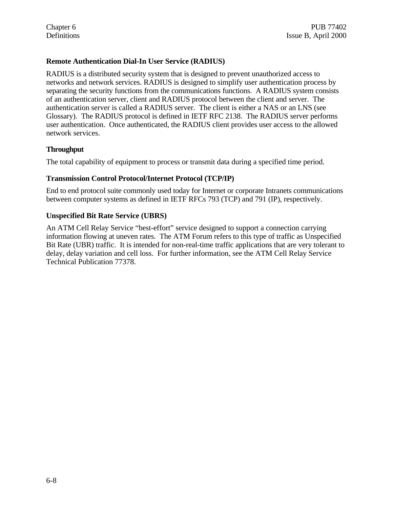#### **Remote Authentication Dial-In User Service (RADIUS)**

RADIUS is a distributed security system that is designed to prevent unauthorized access to networks and network services. RADIUS is designed to simplify user authentication process by separating the security functions from the communications functions. A RADIUS system consists of an authentication server, client and RADIUS protocol between the client and server. The authentication server is called a RADIUS server. The client is either a NAS or an LNS (see Glossary). The RADIUS protocol is defined in IETF RFC 2138. The RADIUS server performs user authentication. Once authenticated, the RADIUS client provides user access to the allowed network services.

#### **Throughput**

The total capability of equipment to process or transmit data during a specified time period.

#### **Transmission Control Protocol/Internet Protocol (TCP/IP)**

End to end protocol suite commonly used today for Internet or corporate Intranets communications between computer systems as defined in IETF RFCs 793 (TCP) and 791 (IP), respectively.

#### **Unspecified Bit Rate Service (UBRS)**

An ATM Cell Relay Service "best-effort" service designed to support a connection carrying information flowing at uneven rates. The ATM Forum refers to this type of traffic as Unspecified Bit Rate (UBR) traffic. It is intended for non-real-time traffic applications that are very tolerant to delay, delay variation and cell loss. For further information, see the ATM Cell Relay Service Technical Publication 77378.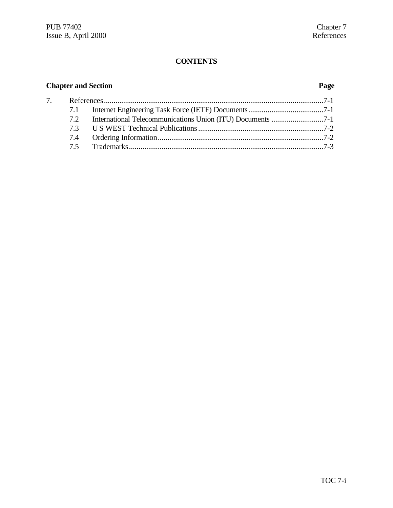# **Chapter and Section Page**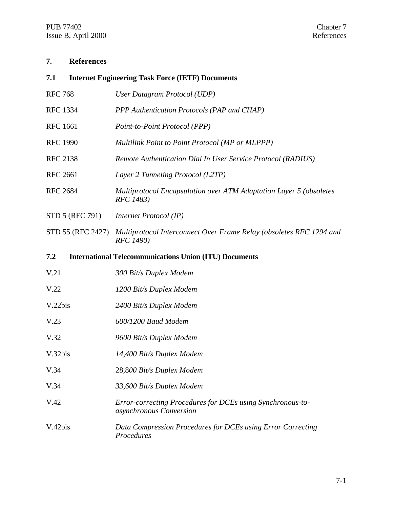#### **7. References**

#### **7.1 Internet Engineering Task Force (IETF) Documents**

- RFC 768 *User Datagram Protocol (UDP)* RFC 1334 *PPP Authentication Protocols (PAP and CHAP)* RFC 1661 *Point-to-Point Protocol (PPP)* RFC 1990 *Multilink Point to Point Protocol (MP or MLPPP)* RFC 2138 *Remote Authentication Dial In User Service Protocol (RADIUS)* RFC 2661 *Layer 2 Tunneling Protocol (L2TP)*
- RFC 2684 *Multiprotocol Encapsulation over ATM Adaptation Layer 5 (obsoletes RFC 1483)*
- STD 5 (RFC 791) *Internet Protocol (IP)*
- STD 55 (RFC 2427) *Multiprotocol Interconnect Over Frame Relay (obsoletes RFC 1294 and RFC 1490)*

#### **7.2 International Telecommunications Union (ITU) Documents**

- V.21 *300 Bit/s Duplex Modem*
- V.22 *1200 Bit/s Duplex Modem*
- V.22bis *2400 Bit/s Duplex Modem*
- V.23 *600/1200 Baud Modem*
- V.32 *9600 Bit/s Duplex Modem*
- V.32bis *14,400 Bit/s Duplex Modem*
- V.34 28,8*00 Bit/s Duplex Modem*
- V.34+ *33,600 Bit/s Duplex Modem*
- V.42 *Error-correcting Procedures for DCEs using Synchronous-toasynchronous Conversion*
- V.42bis *Data Compression Procedures for DCEs using Error Correcting Procedures*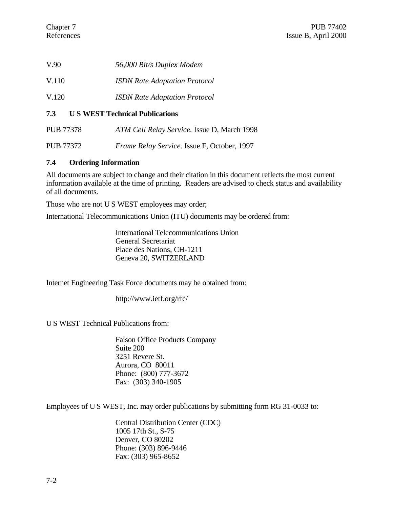- V.90 *56,000 Bit/s Duplex Modem*
- V.110 *ISDN Rate Adaptation Protocol*
- V.120 *ISDN Rate Adaptation Protocol*

#### **7.3 U S WEST Technical Publications**

PUB 77378 *ATM Cell Relay Service.* Issue D, March 1998

PUB 77372 *Frame Relay Service.* Issue F, October, 1997

#### **7.4 Ordering Information**

All documents are subject to change and their citation in this document reflects the most current information available at the time of printing. Readers are advised to check status and availability of all documents.

Those who are not U S WEST employees may order;

International Telecommunications Union (ITU) documents may be ordered from:

International Telecommunications Union General Secretariat Place des Nations, CH-1211 Geneva 20, SWITZERLAND

Internet Engineering Task Force documents may be obtained from:

http://www.ietf.org/rfc/

U S WEST Technical Publications from:

Faison Office Products Company Suite 200 3251 Revere St. Aurora, CO 80011 Phone: (800) 777-3672 Fax: (303) 340-1905

Employees of U S WEST, Inc. may order publications by submitting form RG 31-0033 to:

Central Distribution Center (CDC) 1005 17th St., S-75 Denver, CO 80202 Phone: (303) 896-9446 Fax: (303) 965-8652